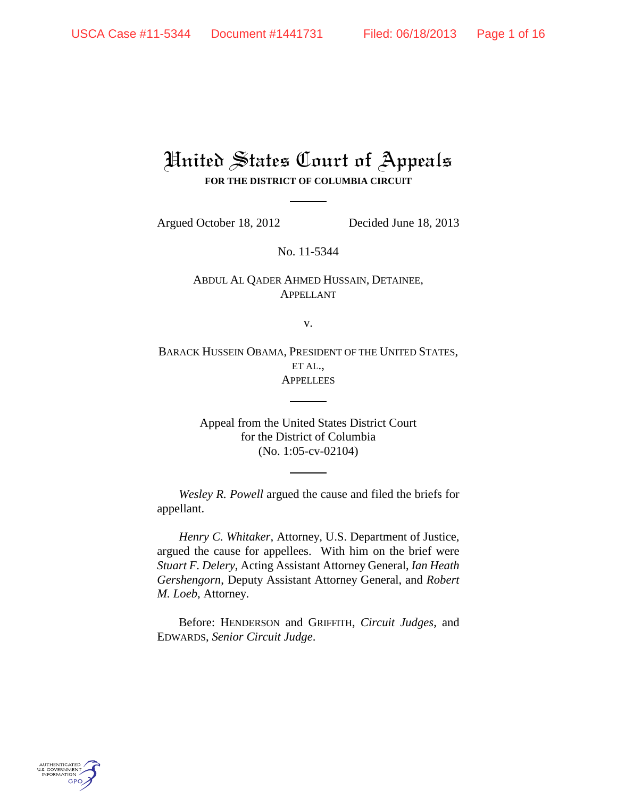## United States Court of Appeals **FOR THE DISTRICT OF COLUMBIA CIRCUIT**

Argued October 18, 2012 Decided June 18, 2013

No. 11-5344

ABDUL AL QADER AHMED HUSSAIN, DETAINEE, APPELLANT

v.

BARACK HUSSEIN OBAMA, PRESIDENT OF THE UNITED STATES, ET AL., **APPELLEES** 

> Appeal from the United States District Court for the District of Columbia (No. 1:05-cv-02104)

*Wesley R. Powell* argued the cause and filed the briefs for appellant.

*Henry C. Whitaker*, Attorney, U.S. Department of Justice, argued the cause for appellees. With him on the brief were *Stuart F. Delery*, Acting Assistant Attorney General, *Ian Heath Gershengorn*, Deputy Assistant Attorney General, and *Robert M. Loeb*, Attorney.

Before: HENDERSON and GRIFFITH, *Circuit Judges*, and EDWARDS, *Senior Circuit Judge*.

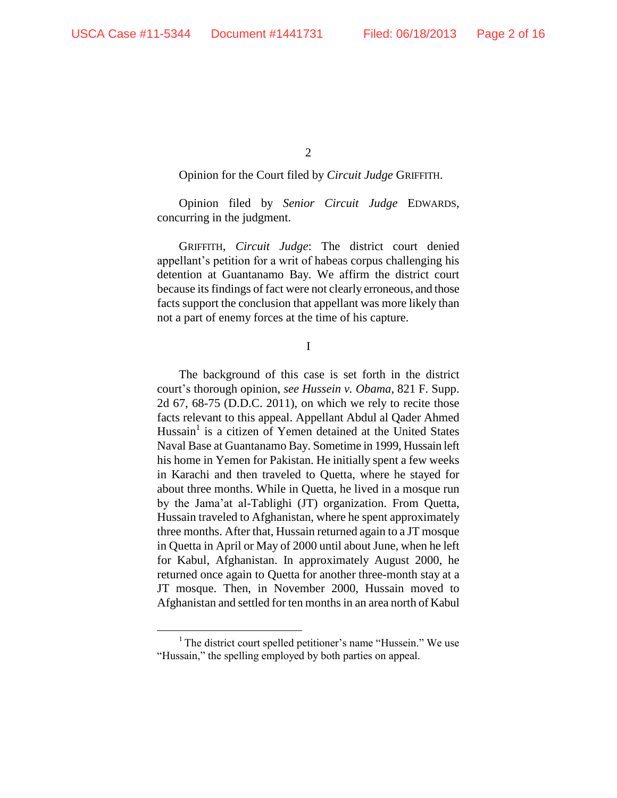2

## Opinion for the Court filed by *Circuit Judge* GRIFFITH.

Opinion filed by *Senior Circuit Judge* EDWARDS, concurring in the judgment.

GRIFFITH, *Circuit Judge*: The district court denied appellant's petition for a writ of habeas corpus challenging his detention at Guantanamo Bay. We affirm the district court because its findings of fact were not clearly erroneous, and those facts support the conclusion that appellant was more likely than not a part of enemy forces at the time of his capture.

I

The background of this case is set forth in the district court's thorough opinion, *see Hussein v. Obama*, 821 F. Supp. 2d 67, 68-75 (D.D.C. 2011), on which we rely to recite those facts relevant to this appeal. Appellant Abdul al Qader Ahmed Hussain<sup>1</sup> is a citizen of Yemen detained at the United States Naval Base at Guantanamo Bay. Sometime in 1999, Hussain left his home in Yemen for Pakistan. He initially spent a few weeks in Karachi and then traveled to Quetta, where he stayed for about three months. While in Quetta, he lived in a mosque run by the Jama'at al-Tablighi (JT) organization. From Quetta, Hussain traveled to Afghanistan, where he spent approximately three months. After that, Hussain returned again to a JT mosque in Quetta in April or May of 2000 until about June, when he left for Kabul, Afghanistan. In approximately August 2000, he returned once again to Quetta for another three-month stay at a JT mosque. Then, in November 2000, Hussain moved to Afghanistan and settled for ten months in an area north of Kabul

<sup>&</sup>lt;sup>1</sup> The district court spelled petitioner's name "Hussein." We use "Hussain," the spelling employed by both parties on appeal.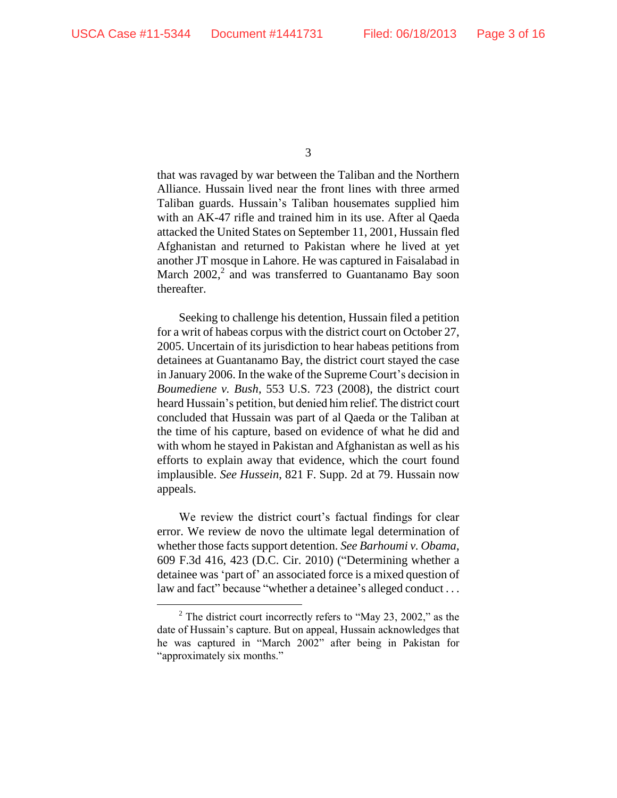3

that was ravaged by war between the Taliban and the Northern Alliance. Hussain lived near the front lines with three armed Taliban guards. Hussain's Taliban housemates supplied him with an AK-47 rifle and trained him in its use. After al Qaeda attacked the United States on September 11, 2001, Hussain fled Afghanistan and returned to Pakistan where he lived at yet another JT mosque in Lahore. He was captured in Faisalabad in March  $2002$ ,<sup>2</sup> and was transferred to Guantanamo Bay soon thereafter.

Seeking to challenge his detention, Hussain filed a petition for a writ of habeas corpus with the district court on October 27, 2005. Uncertain of its jurisdiction to hear habeas petitions from detainees at Guantanamo Bay, the district court stayed the case in January 2006. In the wake of the Supreme Court's decision in *Boumediene v. Bush*, 553 U.S. 723 (2008), the district court heard Hussain's petition, but denied him relief. The district court concluded that Hussain was part of al Qaeda or the Taliban at the time of his capture, based on evidence of what he did and with whom he stayed in Pakistan and Afghanistan as well as his efforts to explain away that evidence, which the court found implausible. *See Hussein*, 821 F. Supp. 2d at 79. Hussain now appeals.

We review the district court's factual findings for clear error. We review de novo the ultimate legal determination of whether those facts support detention. *See Barhoumi v. Obama*, 609 F.3d 416, 423 (D.C. Cir. 2010) ("Determining whether a detainee was 'part of' an associated force is a mixed question of law and fact" because "whether a detainee's alleged conduct ...

<sup>&</sup>lt;sup>2</sup> The district court incorrectly refers to "May 23, 2002," as the date of Hussain's capture. But on appeal, Hussain acknowledges that he was captured in "March 2002" after being in Pakistan for "approximately six months."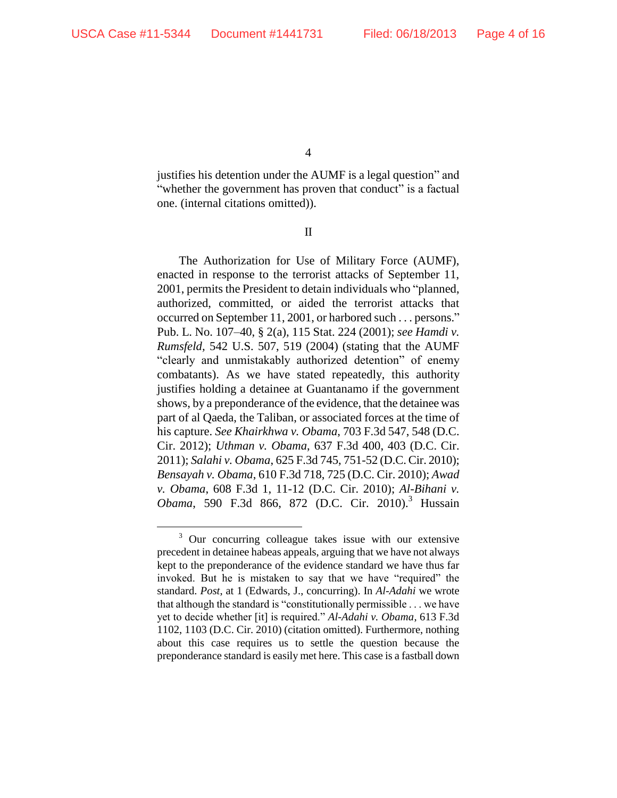4

justifies his detention under the AUMF is a legal question" and "whether the government has proven that conduct" is a factual one. (internal citations omitted)).

II

The Authorization for Use of Military Force (AUMF), enacted in response to the terrorist attacks of September 11, 2001, permits the President to detain individuals who "planned, authorized, committed, or aided the terrorist attacks that occurred on September 11, 2001, or harbored such . . . persons." Pub. L. No. 107–40, § 2(a), 115 Stat. 224 (2001); *see Hamdi v. Rumsfeld,* 542 U.S. 507, 519 (2004) (stating that the AUMF "clearly and unmistakably authorized detention" of enemy combatants). As we have stated repeatedly, this authority justifies holding a detainee at Guantanamo if the government shows, by a preponderance of the evidence, that the detainee was part of al Qaeda, the Taliban, or associated forces at the time of his capture. *See Khairkhwa v. Obama*, 703 F.3d 547, 548 (D.C. Cir. 2012); *Uthman v. Obama*, 637 F.3d 400, 403 (D.C. Cir. 2011); *Salahi v. Obama*, 625 F.3d 745, 751-52 (D.C. Cir. 2010); *Bensayah v. Obama*, 610 F.3d 718, 725 (D.C. Cir. 2010); *Awad v. Obama*, 608 F.3d 1, 11-12 (D.C. Cir. 2010); *Al-Bihani v. Obama*, 590 F.3d 866, 872 (D.C. Cir. 2010). <sup>3</sup> Hussain

<sup>&</sup>lt;sup>3</sup> Our concurring colleague takes issue with our extensive precedent in detainee habeas appeals, arguing that we have not always kept to the preponderance of the evidence standard we have thus far invoked. But he is mistaken to say that we have "required" the standard. *Post*, at 1 (Edwards, J., concurring). In *Al-Adahi* we wrote that although the standard is "constitutionally permissible . . . we have yet to decide whether [it] is required." *Al-Adahi v. Obama*, 613 F.3d 1102, 1103 (D.C. Cir. 2010) (citation omitted). Furthermore, nothing about this case requires us to settle the question because the preponderance standard is easily met here. This case is a fastball down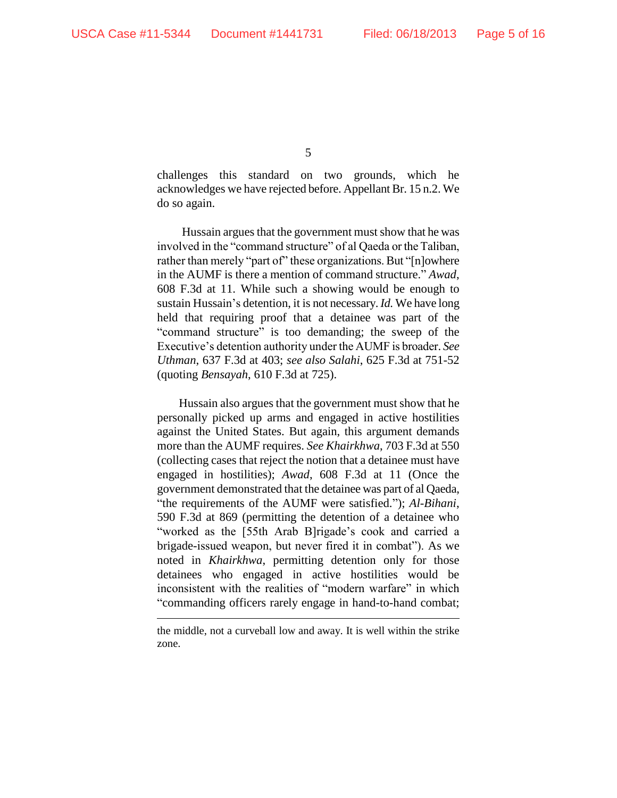5

challenges this standard on two grounds, which he acknowledges we have rejected before. Appellant Br. 15 n.2. We do so again.

Hussain argues that the government must show that he was involved in the "command structure" of al Qaeda or the Taliban, rather than merely "part of" these organizations. But "[n]owhere in the AUMF is there a mention of command structure." *Awad*, 608 F.3d at 11. While such a showing would be enough to sustain Hussain's detention, it is not necessary. *Id.* We have long held that requiring proof that a detainee was part of the "command structure" is too demanding; the sweep of the Executive's detention authority under the AUMF is broader. *See Uthman*, 637 F.3d at 403; *see also Salahi*, 625 F.3d at 751-52 (quoting *Bensayah*, 610 F.3d at 725).

Hussain also argues that the government must show that he personally picked up arms and engaged in active hostilities against the United States. But again, this argument demands more than the AUMF requires. *See Khairkhwa*, 703 F.3d at 550 (collecting cases that reject the notion that a detainee must have engaged in hostilities); *Awad*, 608 F.3d at 11 (Once the government demonstrated that the detainee was part of al Qaeda, "the requirements of the AUMF were satisfied."); *Al-Bihani*, 590 F.3d at 869 (permitting the detention of a detainee who "worked as the [55th Arab B]rigade's cook and carried a brigade-issued weapon, but never fired it in combat"). As we noted in *Khairkhwa*, permitting detention only for those detainees who engaged in active hostilities would be inconsistent with the realities of "modern warfare" in which "commanding officers rarely engage in hand-to-hand combat;

the middle, not a curveball low and away. It is well within the strike zone.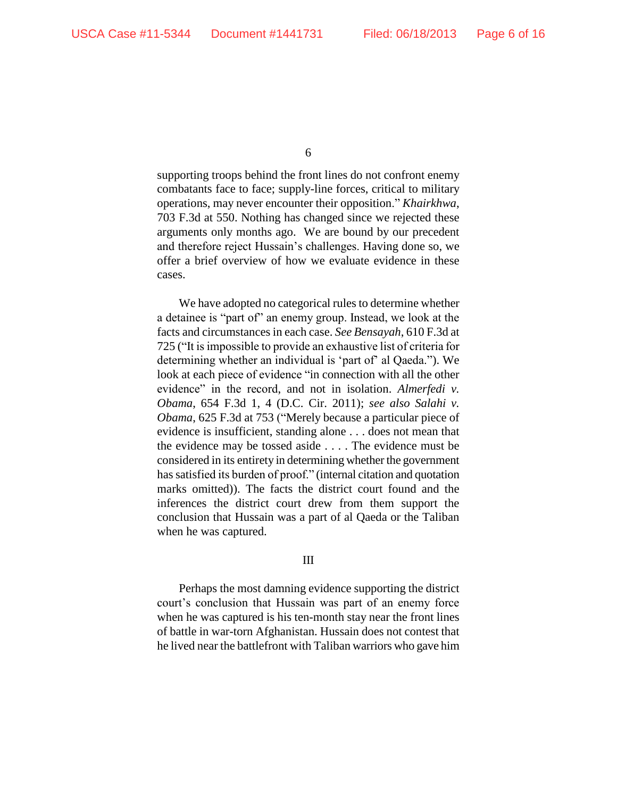supporting troops behind the front lines do not confront enemy combatants face to face; supply-line forces, critical to military operations, may never encounter their opposition." *Khairkhwa*, 703 F.3d at 550. Nothing has changed since we rejected these arguments only months ago. We are bound by our precedent and therefore reject Hussain's challenges. Having done so, we offer a brief overview of how we evaluate evidence in these cases.

We have adopted no categorical rules to determine whether a detainee is "part of" an enemy group. Instead, we look at the facts and circumstances in each case. *See Bensayah*, 610 F.3d at 725 ("It is impossible to provide an exhaustive list of criteria for determining whether an individual is 'part of' al Qaeda."). We look at each piece of evidence "in connection with all the other evidence" in the record, and not in isolation. *Almerfedi v. Obama*, 654 F.3d 1, 4 (D.C. Cir. 2011); *see also Salahi v. Obama*, 625 F.3d at 753 ("Merely because a particular piece of evidence is insufficient, standing alone . . . does not mean that the evidence may be tossed aside . . . . The evidence must be considered in its entirety in determining whether the government has satisfied its burden of proof." (internal citation and quotation marks omitted)). The facts the district court found and the inferences the district court drew from them support the conclusion that Hussain was a part of al Qaeda or the Taliban when he was captured.

## III

Perhaps the most damning evidence supporting the district court's conclusion that Hussain was part of an enemy force when he was captured is his ten-month stay near the front lines of battle in war-torn Afghanistan. Hussain does not contest that he lived near the battlefront with Taliban warriors who gave him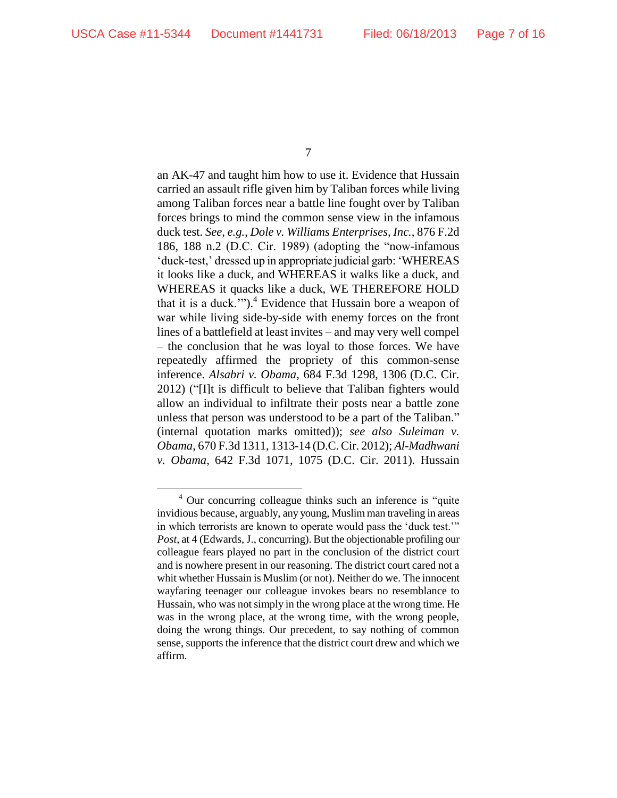7

an AK-47 and taught him how to use it. Evidence that Hussain carried an assault rifle given him by Taliban forces while living among Taliban forces near a battle line fought over by Taliban forces brings to mind the common sense view in the infamous duck test. *See, e.g.*, *Dole v. Williams Enterprises, Inc.*, 876 F.2d 186, 188 n.2 (D.C. Cir. 1989) (adopting the "now-infamous 'duck-test,' dressed up in appropriate judicial garb: 'WHEREAS it looks like a duck, and WHEREAS it walks like a duck, and WHEREAS it quacks like a duck, WE THEREFORE HOLD that it is a duck."").<sup>4</sup> Evidence that Hussain bore a weapon of war while living side-by-side with enemy forces on the front lines of a battlefield at least invites – and may very well compel – the conclusion that he was loyal to those forces. We have repeatedly affirmed the propriety of this common-sense inference. *Alsabri v. Obama*, 684 F.3d 1298, 1306 (D.C. Cir. 2012) ("[I]t is difficult to believe that Taliban fighters would allow an individual to infiltrate their posts near a battle zone unless that person was understood to be a part of the Taliban." (internal quotation marks omitted)); *see also Suleiman v. Obama*, 670 F.3d 1311, 1313-14 (D.C. Cir. 2012); *Al-Madhwani v. Obama*, 642 F.3d 1071, 1075 (D.C. Cir. 2011). Hussain

<sup>4</sup> Our concurring colleague thinks such an inference is "quite invidious because, arguably, any young, Muslim man traveling in areas in which terrorists are known to operate would pass the 'duck test.'" *Post*, at 4 (Edwards, J., concurring). But the objectionable profiling our colleague fears played no part in the conclusion of the district court and is nowhere present in our reasoning. The district court cared not a whit whether Hussain is Muslim (or not). Neither do we. The innocent wayfaring teenager our colleague invokes bears no resemblance to Hussain, who was not simply in the wrong place at the wrong time. He was in the wrong place, at the wrong time, with the wrong people, doing the wrong things. Our precedent, to say nothing of common sense, supports the inference that the district court drew and which we affirm.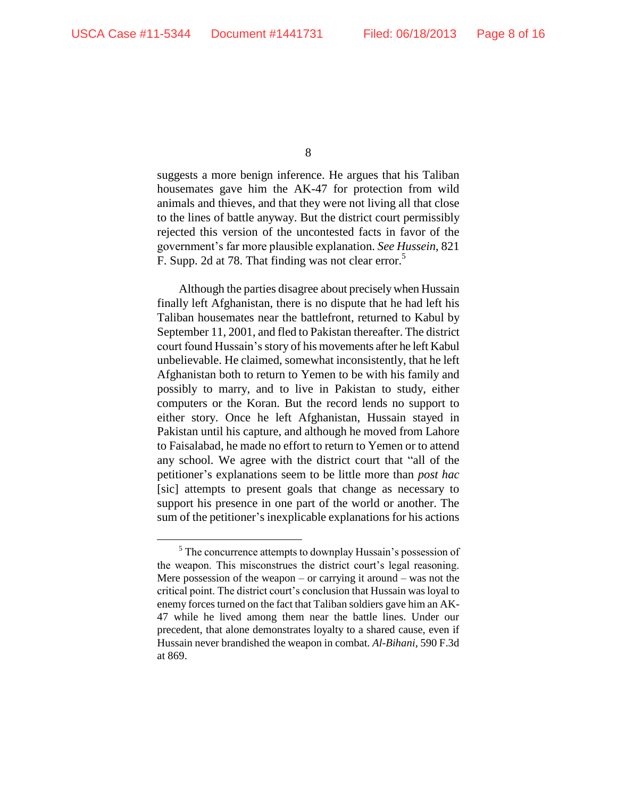8

suggests a more benign inference. He argues that his Taliban housemates gave him the AK-47 for protection from wild animals and thieves, and that they were not living all that close to the lines of battle anyway. But the district court permissibly rejected this version of the uncontested facts in favor of the government's far more plausible explanation. *See Hussein*, 821 F. Supp. 2d at 78. That finding was not clear error.<sup>5</sup>

Although the parties disagree about preciselywhen Hussain finally left Afghanistan, there is no dispute that he had left his Taliban housemates near the battlefront, returned to Kabul by September 11, 2001, and fled to Pakistan thereafter. The district court found Hussain's story of his movements after he left Kabul unbelievable. He claimed, somewhat inconsistently, that he left Afghanistan both to return to Yemen to be with his family and possibly to marry, and to live in Pakistan to study, either computers or the Koran. But the record lends no support to either story. Once he left Afghanistan, Hussain stayed in Pakistan until his capture, and although he moved from Lahore to Faisalabad, he made no effort to return to Yemen or to attend any school. We agree with the district court that "all of the petitioner's explanations seem to be little more than *post hac* [sic] attempts to present goals that change as necessary to support his presence in one part of the world or another. The sum of the petitioner's inexplicable explanations for his actions

<sup>&</sup>lt;sup>5</sup> The concurrence attempts to downplay Hussain's possession of the weapon. This misconstrues the district court's legal reasoning. Mere possession of the weapon – or carrying it around – was not the critical point. The district court's conclusion that Hussain was loyal to enemy forces turned on the fact that Taliban soldiers gave him an AK-47 while he lived among them near the battle lines. Under our precedent, that alone demonstrates loyalty to a shared cause, even if Hussain never brandished the weapon in combat. *Al-Bihani*, 590 F.3d at 869.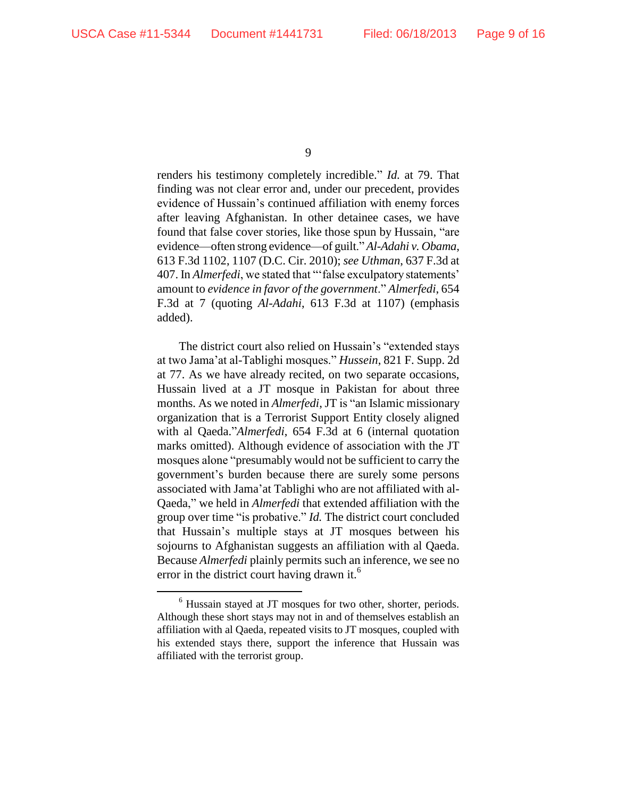9

renders his testimony completely incredible." *Id.* at 79. That finding was not clear error and, under our precedent, provides evidence of Hussain's continued affiliation with enemy forces after leaving Afghanistan. In other detainee cases, we have found that false cover stories, like those spun by Hussain, "are evidence—often strong evidence—of guilt." *Al-Adahi v. Obama*, 613 F.3d 1102, 1107 (D.C. Cir. 2010); *see Uthman*, 637 F.3d at 407. In *Almerfedi*, we stated that "'false exculpatory statements' amount to *evidence in favor of the government*." *Almerfedi*, 654 F.3d at 7 (quoting *Al-Adahi*, 613 F.3d at 1107) (emphasis added).

The district court also relied on Hussain's "extended stays at two Jama'at al-Tablighi mosques." *Hussein*, 821 F. Supp. 2d at 77. As we have already recited, on two separate occasions, Hussain lived at a JT mosque in Pakistan for about three months. As we noted in *Almerfedi*, JT is "an Islamic missionary organization that is a Terrorist Support Entity closely aligned with al Qaeda."*Almerfedi*, 654 F.3d at 6 (internal quotation marks omitted). Although evidence of association with the JT mosques alone "presumably would not be sufficient to carry the government's burden because there are surely some persons associated with Jama'at Tablighi who are not affiliated with al-Qaeda," we held in *Almerfedi* that extended affiliation with the group over time "is probative." *Id.* The district court concluded that Hussain's multiple stays at JT mosques between his sojourns to Afghanistan suggests an affiliation with al Qaeda. Because *Almerfedi* plainly permits such an inference, we see no error in the district court having drawn it.<sup>6</sup>

<sup>6</sup> Hussain stayed at JT mosques for two other, shorter, periods. Although these short stays may not in and of themselves establish an affiliation with al Qaeda, repeated visits to JT mosques, coupled with his extended stays there, support the inference that Hussain was affiliated with the terrorist group.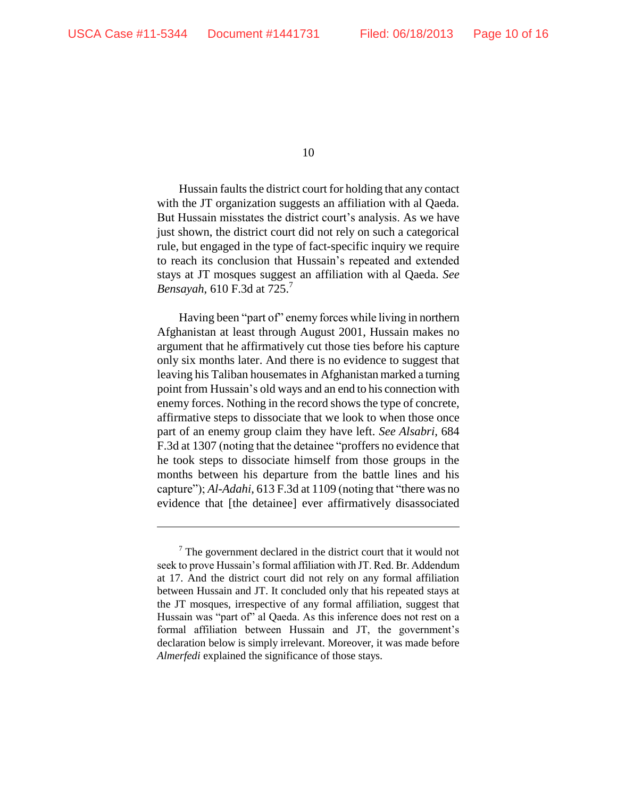10

Hussain faults the district court for holding that any contact with the JT organization suggests an affiliation with al Qaeda. But Hussain misstates the district court's analysis. As we have just shown, the district court did not rely on such a categorical rule, but engaged in the type of fact-specific inquiry we require to reach its conclusion that Hussain's repeated and extended stays at JT mosques suggest an affiliation with al Qaeda. *See Bensayah*, 610 F.3d at 725.<sup>7</sup>

Having been "part of" enemy forces while living in northern Afghanistan at least through August 2001, Hussain makes no argument that he affirmatively cut those ties before his capture only six months later. And there is no evidence to suggest that leaving his Taliban housemates in Afghanistan marked a turning point from Hussain's old ways and an end to his connection with enemy forces. Nothing in the record shows the type of concrete, affirmative steps to dissociate that we look to when those once part of an enemy group claim they have left. *See Alsabri*, 684 F.3d at 1307 (noting that the detainee "proffers no evidence that he took steps to dissociate himself from those groups in the months between his departure from the battle lines and his capture"); *Al-Adahi*, 613 F.3d at 1109 (noting that "there was no evidence that [the detainee] ever affirmatively disassociated

 $7$  The government declared in the district court that it would not seek to prove Hussain's formal affiliation with JT. Red. Br. Addendum at 17. And the district court did not rely on any formal affiliation between Hussain and JT. It concluded only that his repeated stays at the JT mosques, irrespective of any formal affiliation, suggest that Hussain was "part of" al Qaeda. As this inference does not rest on a formal affiliation between Hussain and JT, the government's declaration below is simply irrelevant. Moreover, it was made before *Almerfedi* explained the significance of those stays.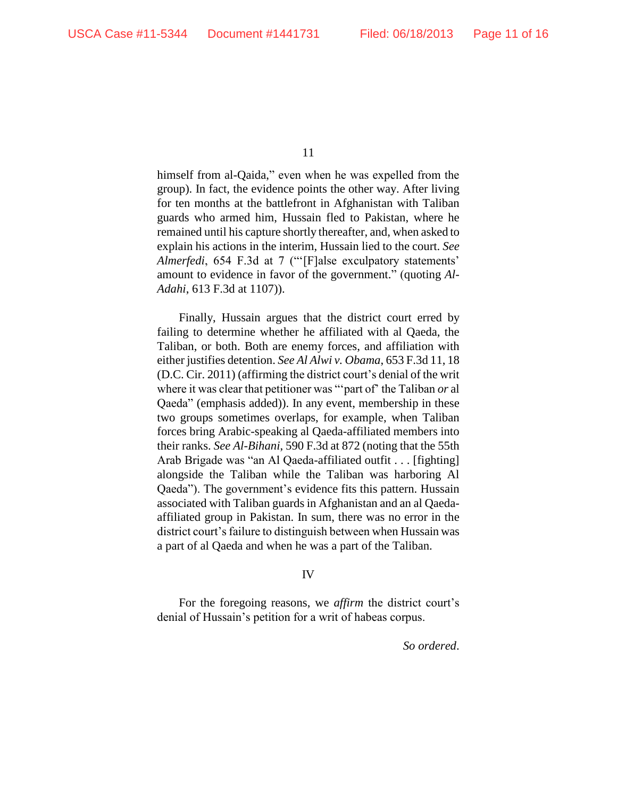himself from al-Qaida," even when he was expelled from the group). In fact, the evidence points the other way. After living for ten months at the battlefront in Afghanistan with Taliban guards who armed him, Hussain fled to Pakistan, where he remained until his capture shortly thereafter, and, when asked to explain his actions in the interim, Hussain lied to the court. *See Almerfedi*, 654 F.3d at 7 ("'[F]alse exculpatory statements' amount to evidence in favor of the government." (quoting *Al-Adahi*, 613 F.3d at 1107)).

Finally, Hussain argues that the district court erred by failing to determine whether he affiliated with al Qaeda, the Taliban, or both. Both are enemy forces, and affiliation with either justifies detention. *See Al Alwi v. Obama*, 653 F.3d 11, 18 (D.C. Cir. 2011) (affirming the district court's denial of the writ where it was clear that petitioner was "'part of' the Taliban *or* al Qaeda" (emphasis added)). In any event, membership in these two groups sometimes overlaps, for example, when Taliban forces bring Arabic-speaking al Qaeda-affiliated members into their ranks. *See Al-Bihani*, 590 F.3d at 872 (noting that the 55th Arab Brigade was "an Al Qaeda-affiliated outfit . . . [fighting] alongside the Taliban while the Taliban was harboring Al Qaeda"). The government's evidence fits this pattern. Hussain associated with Taliban guards in Afghanistan and an al Qaedaaffiliated group in Pakistan. In sum, there was no error in the district court's failure to distinguish between when Hussain was a part of al Qaeda and when he was a part of the Taliban.

## IV

For the foregoing reasons, we *affirm* the district court's denial of Hussain's petition for a writ of habeas corpus.

*So ordered*.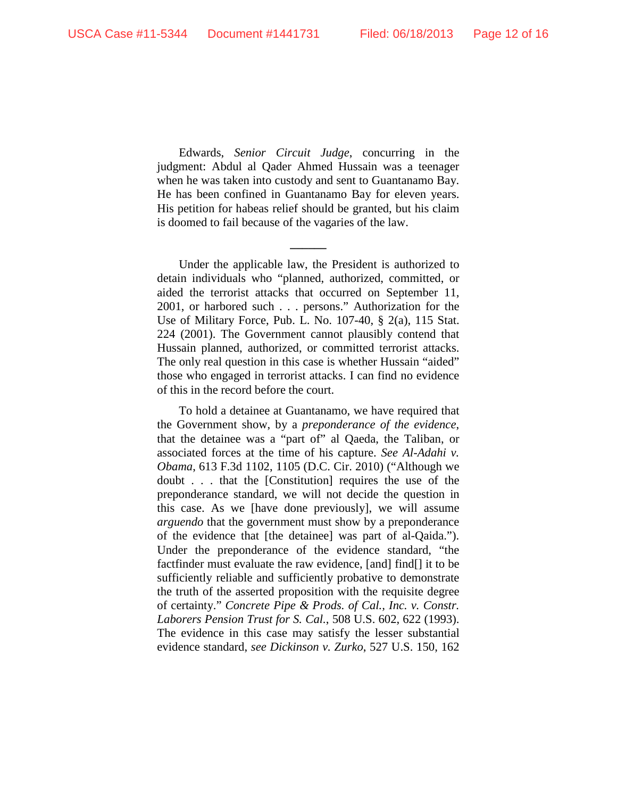Edwards, *Senior Circuit Judge*, concurring in the judgment: Abdul al Qader Ahmed Hussain was a teenager when he was taken into custody and sent to Guantanamo Bay. He has been confined in Guantanamo Bay for eleven years. His petition for habeas relief should be granted, but his claim is doomed to fail because of the vagaries of the law.

**\_\_\_\_\_\_**

Under the applicable law, the President is authorized to detain individuals who "planned, authorized, committed, or aided the terrorist attacks that occurred on September 11, 2001, or harbored such . . . persons." Authorization for the Use of Military Force, Pub. L. No. 107-40, § 2(a), 115 Stat. 224 (2001). The Government cannot plausibly contend that Hussain planned, authorized, or committed terrorist attacks. The only real question in this case is whether Hussain "aided" those who engaged in terrorist attacks. I can find no evidence of this in the record before the court.

To hold a detainee at Guantanamo, we have required that the Government show, by a *preponderance of the evidence*, that the detainee was a "part of" al Qaeda, the Taliban, or associated forces at the time of his capture. *See Al-Adahi v. Obama*, 613 F.3d 1102, 1105 (D.C. Cir. 2010) ("Although we doubt . . . that the [Constitution] requires the use of the preponderance standard, we will not decide the question in this case. As we [have done previously], we will assume *arguendo* that the government must show by a preponderance of the evidence that [the detainee] was part of al-Qaida."). Under the preponderance of the evidence standard, "the factfinder must evaluate the raw evidence, [and] find[] it to be sufficiently reliable and sufficiently probative to demonstrate the truth of the asserted proposition with the requisite degree of certainty." *Concrete Pipe & Prods. of Cal., Inc. v. Constr. Laborers Pension Trust for S. Cal.*, 508 U.S. 602, 622 (1993). The evidence in this case may satisfy the lesser substantial evidence standard, *see Dickinson v. Zurko*, 527 U.S. 150, 162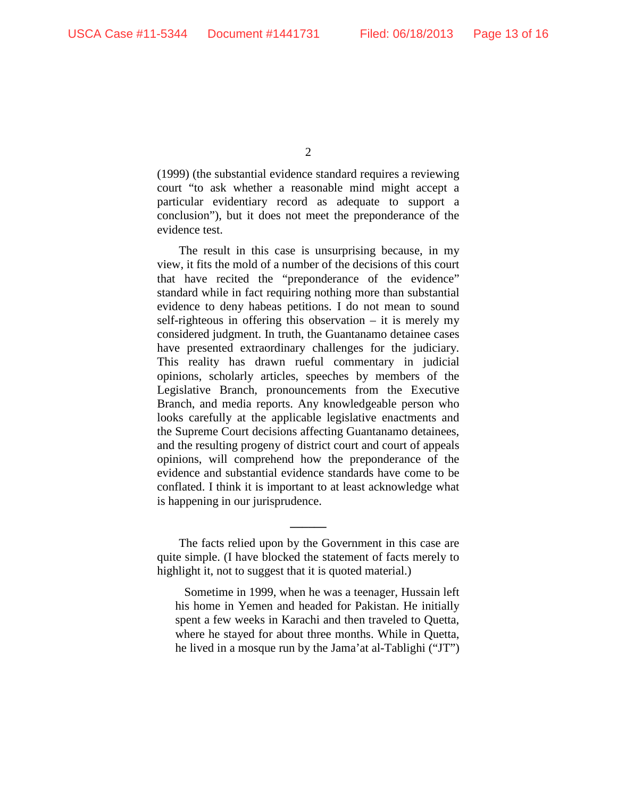$\mathcal{L}$ 

(1999) (the substantial evidence standard requires a reviewing court "to ask whether a reasonable mind might accept a particular evidentiary record as adequate to support a conclusion"), but it does not meet the preponderance of the evidence test.

The result in this case is unsurprising because, in my view, it fits the mold of a number of the decisions of this court that have recited the "preponderance of the evidence" standard while in fact requiring nothing more than substantial evidence to deny habeas petitions. I do not mean to sound self-righteous in offering this observation – it is merely my considered judgment. In truth, the Guantanamo detainee cases have presented extraordinary challenges for the judiciary. This reality has drawn rueful commentary in judicial opinions, scholarly articles, speeches by members of the Legislative Branch, pronouncements from the Executive Branch, and media reports. Any knowledgeable person who looks carefully at the applicable legislative enactments and the Supreme Court decisions affecting Guantanamo detainees, and the resulting progeny of district court and court of appeals opinions, will comprehend how the preponderance of the evidence and substantial evidence standards have come to be conflated. I think it is important to at least acknowledge what is happening in our jurisprudence.

The facts relied upon by the Government in this case are quite simple. (I have blocked the statement of facts merely to highlight it, not to suggest that it is quoted material.)

**\_\_\_\_\_\_**

Sometime in 1999, when he was a teenager, Hussain left his home in Yemen and headed for Pakistan. He initially spent a few weeks in Karachi and then traveled to Quetta, where he stayed for about three months. While in Quetta, he lived in a mosque run by the Jama'at al-Tablighi ("JT")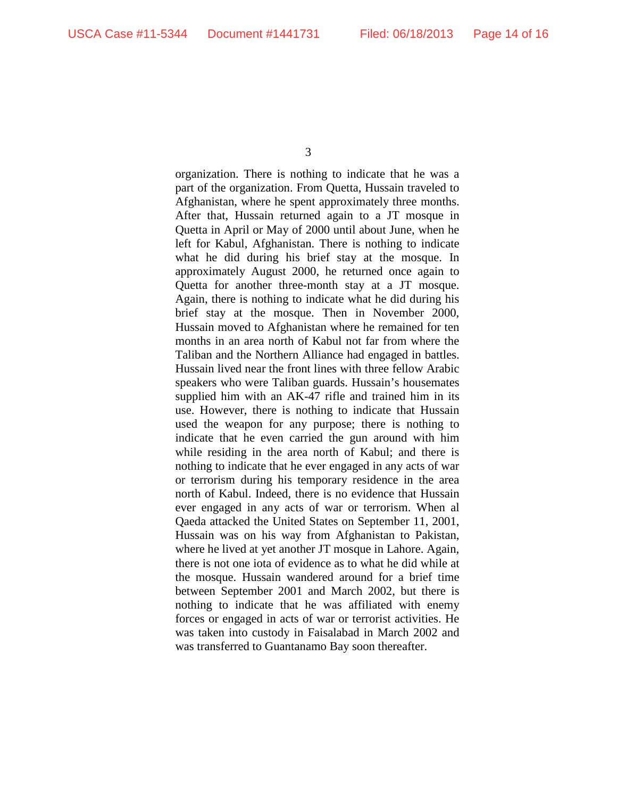organization. There is nothing to indicate that he was a part of the organization. From Quetta, Hussain traveled to Afghanistan, where he spent approximately three months. After that, Hussain returned again to a JT mosque in Quetta in April or May of 2000 until about June, when he left for Kabul, Afghanistan. There is nothing to indicate what he did during his brief stay at the mosque. In approximately August 2000, he returned once again to Quetta for another three-month stay at a JT mosque. Again, there is nothing to indicate what he did during his brief stay at the mosque. Then in November 2000, Hussain moved to Afghanistan where he remained for ten months in an area north of Kabul not far from where the Taliban and the Northern Alliance had engaged in battles. Hussain lived near the front lines with three fellow Arabic speakers who were Taliban guards. Hussain's housemates supplied him with an AK-47 rifle and trained him in its use. However, there is nothing to indicate that Hussain used the weapon for any purpose; there is nothing to indicate that he even carried the gun around with him while residing in the area north of Kabul; and there is nothing to indicate that he ever engaged in any acts of war or terrorism during his temporary residence in the area north of Kabul. Indeed, there is no evidence that Hussain ever engaged in any acts of war or terrorism. When al Qaeda attacked the United States on September 11, 2001, Hussain was on his way from Afghanistan to Pakistan, where he lived at yet another JT mosque in Lahore. Again, there is not one iota of evidence as to what he did while at the mosque. Hussain wandered around for a brief time between September 2001 and March 2002, but there is nothing to indicate that he was affiliated with enemy forces or engaged in acts of war or terrorist activities. He was taken into custody in Faisalabad in March 2002 and was transferred to Guantanamo Bay soon thereafter.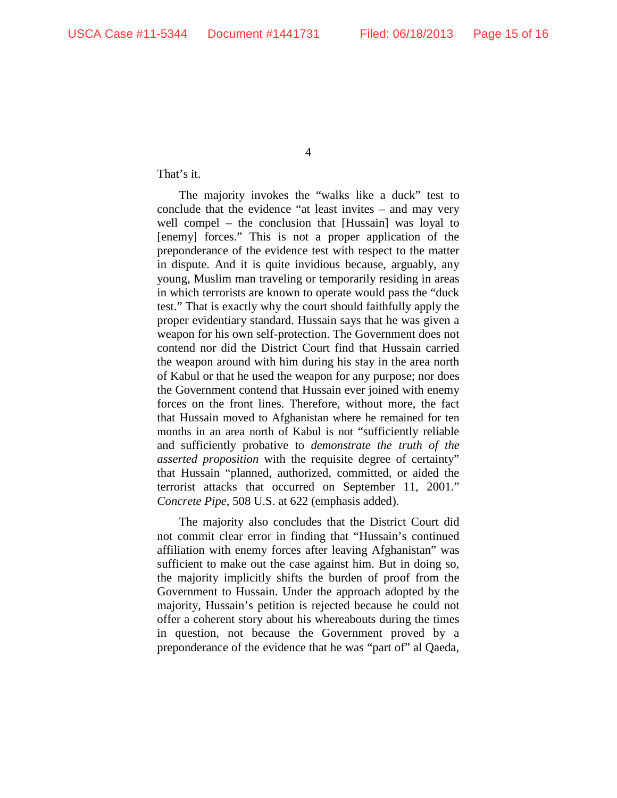That's it.

The majority invokes the "walks like a duck" test to conclude that the evidence "at least invites – and may very well compel – the conclusion that [Hussain] was loyal to [enemy] forces." This is not a proper application of the preponderance of the evidence test with respect to the matter in dispute. And it is quite invidious because, arguably, any young, Muslim man traveling or temporarily residing in areas in which terrorists are known to operate would pass the "duck test." That is exactly why the court should faithfully apply the proper evidentiary standard. Hussain says that he was given a weapon for his own self-protection. The Government does not contend nor did the District Court find that Hussain carried the weapon around with him during his stay in the area north of Kabul or that he used the weapon for any purpose; nor does the Government contend that Hussain ever joined with enemy forces on the front lines. Therefore, without more, the fact that Hussain moved to Afghanistan where he remained for ten months in an area north of Kabul is not "sufficiently reliable and sufficiently probative to *demonstrate the truth of the asserted proposition* with the requisite degree of certainty" that Hussain "planned, authorized, committed, or aided the terrorist attacks that occurred on September 11, 2001." *Concrete Pipe*, 508 U.S. at 622 (emphasis added).

The majority also concludes that the District Court did not commit clear error in finding that "Hussain's continued affiliation with enemy forces after leaving Afghanistan" was sufficient to make out the case against him. But in doing so, the majority implicitly shifts the burden of proof from the Government to Hussain. Under the approach adopted by the majority, Hussain's petition is rejected because he could not offer a coherent story about his whereabouts during the times in question, not because the Government proved by a preponderance of the evidence that he was "part of" al Qaeda,